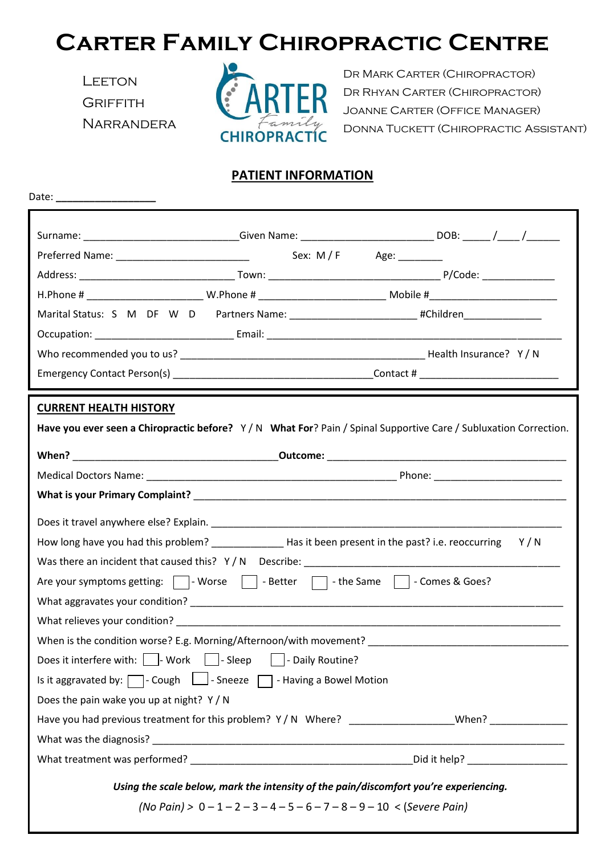## **Carter Family Chiropractic Centre**

**LEETON GRIFFITH NARRANDERA** 



 Dr Mark Carter (Chiropractor) Dr Rhyan Carter (Chiropractor) Joanne Carter (Office Manager) DONNA TUCKETT (CHIROPRACTIC ASSISTANT)

## **PATIENT INFORMATION**

| Date: _______________________                                                                                                                                                                                                  |  |                                                                                                                |  |  |
|--------------------------------------------------------------------------------------------------------------------------------------------------------------------------------------------------------------------------------|--|----------------------------------------------------------------------------------------------------------------|--|--|
|                                                                                                                                                                                                                                |  | Surname: _______________________________Given Name: ______________________________DOB: _____/_____/___________ |  |  |
|                                                                                                                                                                                                                                |  |                                                                                                                |  |  |
|                                                                                                                                                                                                                                |  |                                                                                                                |  |  |
|                                                                                                                                                                                                                                |  |                                                                                                                |  |  |
|                                                                                                                                                                                                                                |  | Marital Status: S M DF W D Partners Name: __________________________#Children_______________________           |  |  |
|                                                                                                                                                                                                                                |  |                                                                                                                |  |  |
|                                                                                                                                                                                                                                |  |                                                                                                                |  |  |
|                                                                                                                                                                                                                                |  |                                                                                                                |  |  |
| <b>CURRENT HEALTH HISTORY</b>                                                                                                                                                                                                  |  |                                                                                                                |  |  |
| Have you ever seen a Chiropractic before? Y/N What For? Pain / Spinal Supportive Care / Subluxation Correction.                                                                                                                |  |                                                                                                                |  |  |
|                                                                                                                                                                                                                                |  |                                                                                                                |  |  |
|                                                                                                                                                                                                                                |  |                                                                                                                |  |  |
|                                                                                                                                                                                                                                |  |                                                                                                                |  |  |
|                                                                                                                                                                                                                                |  |                                                                                                                |  |  |
|                                                                                                                                                                                                                                |  |                                                                                                                |  |  |
|                                                                                                                                                                                                                                |  |                                                                                                                |  |  |
|                                                                                                                                                                                                                                |  |                                                                                                                |  |  |
| Are your symptoms getting: $\Box$ - Worse $\Box$ - Better $\Box$ - the Same $\Box$ - Comes & Goes?                                                                                                                             |  |                                                                                                                |  |  |
|                                                                                                                                                                                                                                |  |                                                                                                                |  |  |
| What relieves your condition? Department of the conditional condition of the condition of the condition of the condition of the condition of the condition of the condition of the condition of the condition of the condition |  |                                                                                                                |  |  |
|                                                                                                                                                                                                                                |  |                                                                                                                |  |  |
| Does it interfere with:     Work     Sleep     Daily Routine?                                                                                                                                                                  |  |                                                                                                                |  |  |
| Is it aggravated by: $\Box$ - Cough $\Box$ - Sneeze $\Box$ - Having a Bowel Motion                                                                                                                                             |  |                                                                                                                |  |  |
| Does the pain wake you up at night? Y / N                                                                                                                                                                                      |  |                                                                                                                |  |  |
| Have you had previous treatment for this problem? Y/N Where? __________________When? ______________                                                                                                                            |  |                                                                                                                |  |  |
|                                                                                                                                                                                                                                |  |                                                                                                                |  |  |
|                                                                                                                                                                                                                                |  |                                                                                                                |  |  |
| Using the scale below, mark the intensity of the pain/discomfort you're experiencing.                                                                                                                                          |  |                                                                                                                |  |  |
| (No Pain) > $0 - 1 - 2 - 3 - 4 - 5 - 6 - 7 - 8 - 9 - 10 <$ (Severe Pain)                                                                                                                                                       |  |                                                                                                                |  |  |
|                                                                                                                                                                                                                                |  |                                                                                                                |  |  |